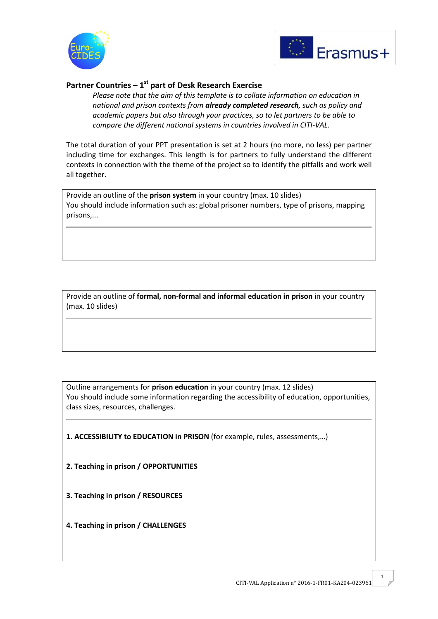



## **Partner Countries – 1 st part of Desk Research Exercise**

*Please note that the aim of this template is to collate information on education in national and prison contexts from already completed research, such as policy and academic papers but also through your practices, so to let partners to be able to compare the different national systems in countries involved in CITI-VAL.* 

The total duration of your PPT presentation is set at 2 hours (no more, no less) per partner including time for exchanges. This length is for partners to fully understand the different contexts in connection with the theme of the project so to identify the pitfalls and work well all together.

Provide an outline of the **prison system** in your country (max. 10 slides) You should include information such as: global prisoner numbers, type of prisons, mapping prisons,...

Provide an outline of **formal, non-formal and informal education in prison** in your country (max. 10 slides)

Outline arrangements for **prison education** in your country (max. 12 slides) You should include some information regarding the accessibility of education, opportunities, class sizes, resources, challenges.

**1. ACCESSIBILITY to EDUCATION in PRISON** (for example, rules, assessments,…)

- **2. Teaching in prison / OPPORTUNITIES**
- **3. Teaching in prison / RESOURCES**
- **4. Teaching in prison / CHALLENGES**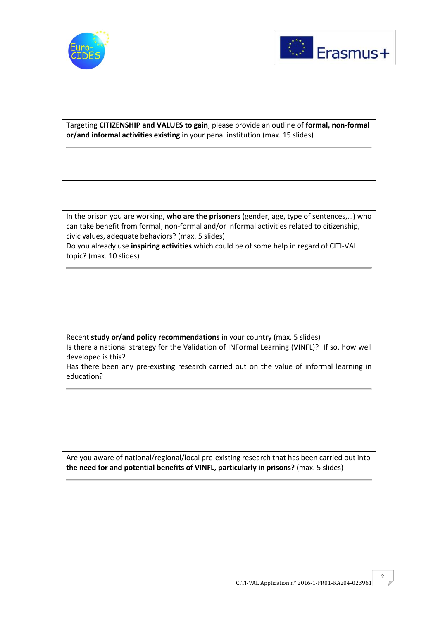



Targeting **CITIZENSHIP and VALUES to gain**, please provide an outline of **formal, non-formal or/and informal activities existing** in your penal institution (max. 15 slides)

In the prison you are working, **who are the prisoners** (gender, age, type of sentences,…) who can take benefit from formal, non-formal and/or informal activities related to citizenship, civic values, adequate behaviors? (max. 5 slides) Do you already use **inspiring activities** which could be of some help in regard of CITI-VAL topic? (max. 10 slides)

Recent **study or/and policy recommendations** in your country (max. 5 slides) Is there a national strategy for the Validation of INFormal Learning (VINFL)? If so, how well developed is this?

Has there been any pre-existing research carried out on the value of informal learning in education?

Are you aware of national/regional/local pre-existing research that has been carried out into **the need for and potential benefits of VINFL, particularly in prisons?** (max. 5 slides)

2